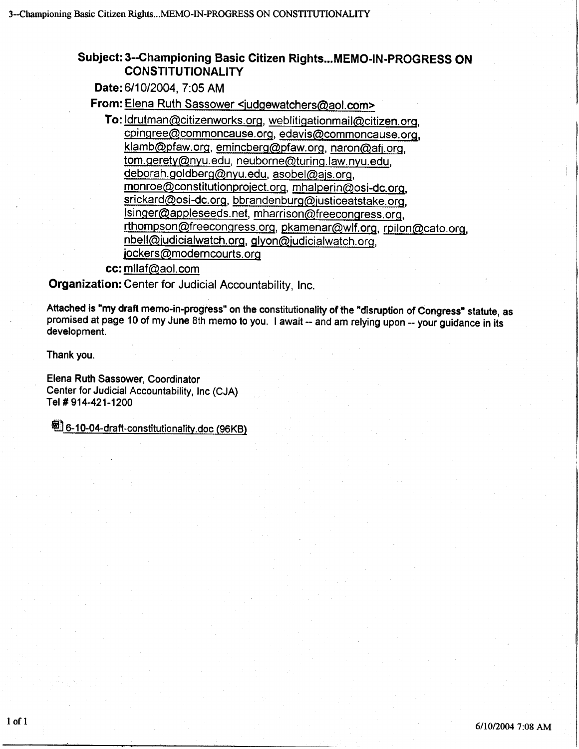### Subject: 3--Ghampioning Basic Gitizen Rights...MEMO-lN-PROGRESS ON **CONSTITUTIONALITY**

Date: 611012004, 7:05 AM

From: Elena Ruth Sassower <judgewatchers@aol.com>

To: *ldrutman@citizenworks.org, weblitigationmail@citizen.org.* cpingree@commoncause.org, edavis@commoncause.org, klamb@pfaw.org, emincberg@pfaw.org, naron@afj.org, tom. geretv@nvu. edu, neuborne@turing. law. nvu. edu, deborah.goldberg@nyu.edu, asobel@ais.org, monroe@constitutionproiect. oro, mhalperin@osi-dc. oro, srickard@osi-dc.org, bbrandenburg@justiceatstake.org, lsinger@appleseeds.net, mharrison@freecongress.org, rthompson@freecongress.org, pkamenar@wlf.org, rpilon@cato.org, nbell@judicialwatch.org, glyon@judicialwatch.org, jockers@moderncourts.org

cc: milaf@aol.com

Organization: Center for Judicial Accountability, Inc.

Attached is "my draft memo-in-progress" on the constitutionality of the "disruption of Congress" statute, as promised at page 10 of my June 8th memo to you. I await -- and am relying upon -- your guidance in its developmen

Thank you.

Elena Ruth Sassower, Coordinator Center for Judicial Accountability, Inc (CJA) Tel # 914-421-1200

<sup>5</sup> 6-10-04-draft-constitutionality.doc (96KB)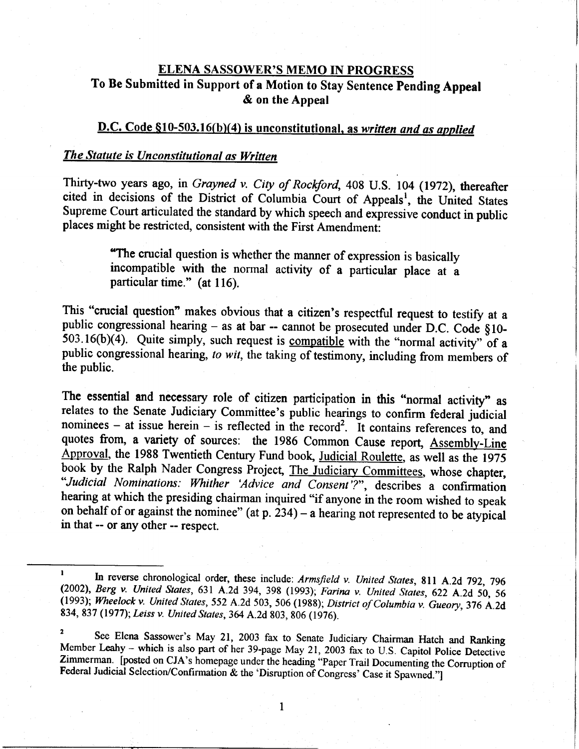## ELENA SASSOWER'S MEMO IN PROGRESS To Be Submitted in Support of a Motion to Stay Sentence Pending Appeal & on the Appeal

## D.C. Code §10-503.16(b)(4) is unconstitutional, as written and as applied

#### The Statute is Unconstitutional as Written

Thirty-two years ago, in Grayned v. City of Rockford, 408 U.S. 104 (1972), thereafter cited in decisions of the District of Columbia Court of Appeals<sup>1</sup>, the United States Supreme Court articulated the standard by which speech and expressive conduct in public places might be restricted, consistent with the First Amendment:

> 'The crucial question is whether the manner of expression is basically incompatible with the normal activity of a particular place at a particular time." (at 116).

This "crucial question" makes obvious that a citizen's respectful request to testify at a public congressional hearing – as at bar -- cannot be prosecuted under D.C. Code  $§10 \overline{503.16(b)(4)}$ . Quite simply, such request is compatible with the "normal activity" of a public congressional hearing, to wit, the taking of testimony, including from members of the public.

The essential and necessary role of citizen participation in this "normal activity" as relates to the Senate Judiciary Committee's public hearings to confirm federal judicial nominees - at issue herein - is reflected in the record<sup>2</sup>. It contains references to, and quotes from, a variety of sources: the 1986 Common Cause report, Assembly-Line Approval, the 1988 Twentieth Century Fund book, Judicial Roulette, as well as the 1975 book by the Ralph Nader Congress Project, The Judiciary Committees, whose chapter, "Judicial Nominations: Whither 'Advice and Consent'?", describes a confirmation hearing at which the presiding chairman inquired "if anyone in the room wished to speak on behalf of or against the nominee" (at p.  $234$ ) – a hearing not represented to be atypical in that -- or any other -- respect.

 $\mathbf{1}$ 

<sup>&</sup>lt;sup>1</sup> In reverse chronological order, these include: Armsfield v. United States, 811 A.2d 792, 796 (2002), Berg v. United States, 631 A.2d 394, 398 (1993); Farina v. United States, 622 A.2d 50, 56 (1993); Wheelock v. United

<sup>&</sup>lt;sup>2</sup> See Elena Sassower's May 21, 2003 fax to Senate Judiciary Chairman Hatch and Ranking Member Leahy - which is also part of her 39-page May 21, 2003 fax to U.S. Capitol Police Detective Zimmerman. [posted on CJA's homepage under the heading "Paper Trail Documenting the Corruption of Federal Judicial Selection/Confirmation & the 'Disruption of Congress' Case it Spawned."]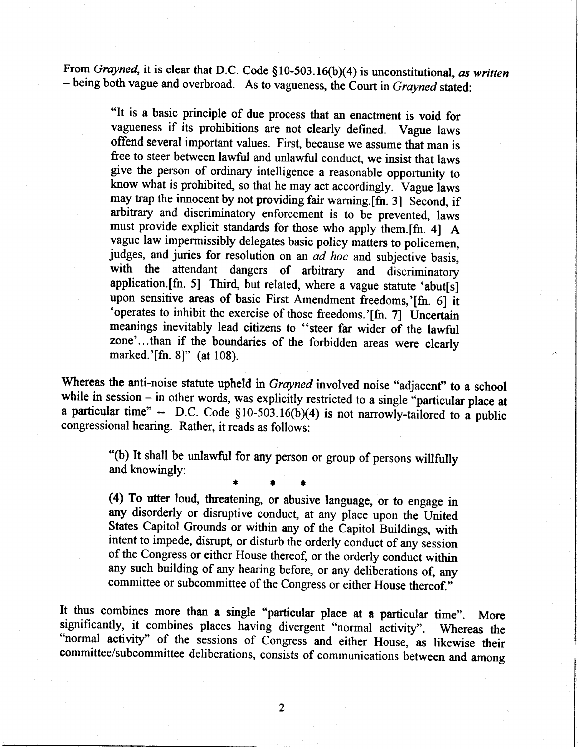From Grayned, it is clear that D.C. Code  $$10-503.16(b)(4)$  is unconstitutional, as written - being both vague and overbroad. As to vagueness, the Court in Grayned stated:

> "It is a basic principle of due process that an enactnent is void for vagueness if its prohibitions are not clearly defined. Vague laws offend several important values. First, because we assume that man is free to steer between lawful and unlawful conduct, we insist that laws give the person of ordinary intelligence a reasonable opportunity to know what is prohibited, so that he may act accordingly. Vague laws may trap the innocent by not providing fair warning.[fn. 3] Second, if arbitary and discriminatory enforcement is to be prevented, laws must provide explicit standards for those who apply them.[fn. 4] A vague law impermissibly delegates basic policy matters to policemen, judges, and juries for resolution on an ad hoc and subjective basis, with the attendant dangers of arbitrary and discriminatory application.[fn. 5] Third, but related, where a vague statute 'abut[s] upon sensitive areas of basic First Amendment freedoms,'[fn. 6] it 'operates to inhibit the exercise of those freedoms.'[fn. 7] Uncertain meanings inevitably lead citizens to "steer far wider of the lawful zone'...than if the boundaries of the forbidden areas were clearly marked.'[fn. 8]" (at 108).

Whereas the anti-noise statute upheld in *Grayned* involved noise "adjacent" to a school while in session  $-$  in other words, was explicitly restricted to a single "particular place at a particular time" -- D.C. Code  $$10-503.16(b)(4)$  is not narrowly-tailored to a public congressional hearing. Rather, it reads as follows:

> '(b) It shall be unlawful for any person or group of persons willfully and knowingly:

\* r I

(4) To utter loud, threatening, or abusive language, or to engage in any disorderly or disruptive conduct, at any place upon the United States Capitol Grounds or within any of the Capitol Buildings, with intent to impede, disrupt, or disturb the orderly conduct of any-session of the Congress or either House thereof, or the orderly conduct within any such building of any hearing before, or any deliberations of, any committee or subcommittee of the Congress or either House thereof."

It thus combines more than a single "particular place at a particular time". More significantly, it combines places having divergent "normal activity". Whereas the "normal activity" of the sessions of Congress and either House, as likewise their committee/subcommittee deliberations, consists of communications between and among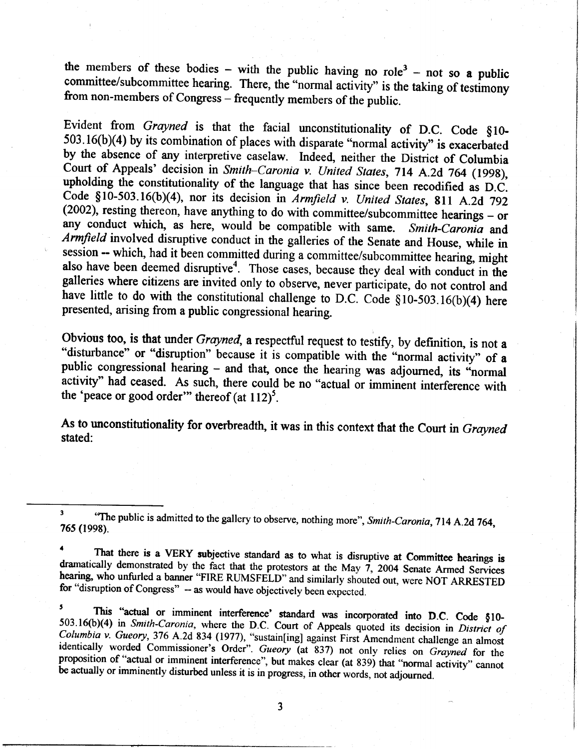the members of these bodies – with the public having no role<sup>3</sup> – not so **a** public committee/subcommittee hearing. There, the "normal activity" is the taking of testimony from non-members of Congress – frequently members

Evident from *Grayned* is that the facial unconstitutionality of D.C. Code  $\S10-503.16(b)(4)$  by its combination of places with disparate "normal activity" is exacerbated by the absence of any interpretive caselaw. Indeed, Court of Appeals' decision in Smith-Caronia v. United States, 714 A.2d 764 (1998), upholding the constitutionality of the language that has since been recodified as D.C. Code §10-503.16(b)(4), nor its decision in *Armfield v. United States*, 811 A.2d 792 (2002), resting thereon, have anything to do with committee/subcommittee hearings – or any conduct which, as here, would be compatible w *Armfield* involved disruptive conduct in the galleries of the Senate and House, while in session -- which, had it been committed during a committee/subcommittee hearing, might also have been deemed disruptive<sup>4</sup>. Those c

Obvious too, is that under Grayned, a respectful request to testify, by definition, is not a "disturbance" or "disruption" because it is compatible with the "normal activity" of a public congressional hearing - and that, once the hearing was adjourned, its "normal activity" had ceased. As such, there could be no "actual or imminent interference with the 'peace or good order" thereof (at  $112$ )<sup>5</sup>.

As to unconstitutionality for overbreadth, it was in this context that the Court in Grayned stated:

 $\overline{\mathbf{3}}$ <sup>3</sup> The public is admitted to the gallery to observe, nothing more", Smith-Caronia, 714 A.2d 764, 765 (1998).

<sup>4</sup> That there is a VERY subjective standard as to what is disruptive at Committee hearings is dramatically demonstrated by the fact that the protestors at the May 7, 2004 Senate Armed Services hearing, who unfurled a bann

This "actual or imminent interference' standard was incorporated into D.C. Code  $$10-503.16(b)(4)$  in *Smith-Caronia*, where the D.C. Court of Appeals quoted its decision in *District of Columbia v. Gueory*, 376 A.2d 834 (1 identically worded Commissioner's Order". Gueory (at 837) not only relies on Grayned for the proposition of "actual or imminent interference", but makes clear (at 839) that "normal activity" cannot be actually or imminentl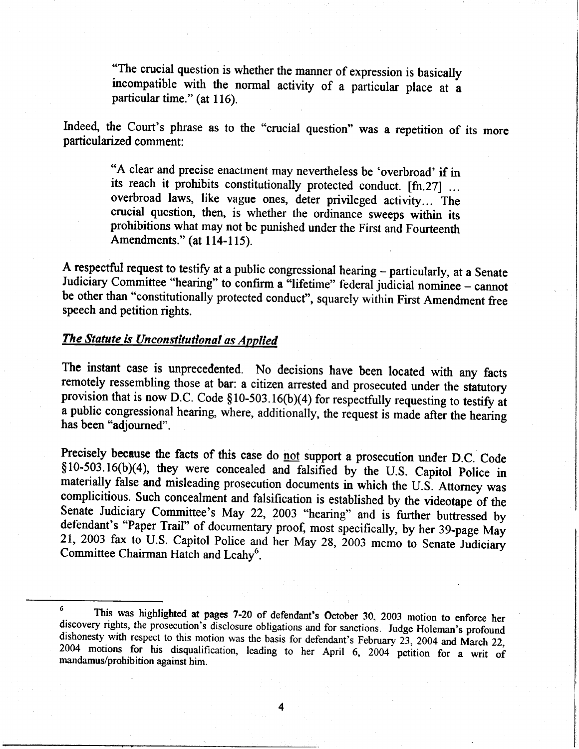"The crucial question is whether the manner of expression is basically incompatible with the normal activity of a particular place at a particular time." (at 116).

Indeed, the Court's phrase as to the "crucial question" was a repetition of its more particularized comment:

> "A clear and precise enactment may nevertheless be 'overbroad' if in its reach it prohibits constitutionally protected conduct. [fn.27] ... overbroad laws, like vague ones, deter privileged activity... The crucial question, then, is whether the ordinance sweeps within its prohibitions what may not be punished under the First and Fourteenth Amendments." (at 114-115).

A respectful request to testify at a public congressional hearing - particularly, at a Senate Judiciary Committee "hearing" to confirm a "lifetime" federal judicial nominee - cannot be other than "constitutionally protected conduct", squarely within First Amendment free speech and petition rights.

# The Statute is Unconstitutional as Applied

The instant case is unprecedented. No decisions have been located with any facts remotely ressembling those at bar: a citizen arrested and prosecuted under the statutory provision that is now D.C. Code  $$10-503.16(b)(4)$  for respectfully requesting to testify at a public congressional hearing, where, additionally, the request is made after the hearing has been "adjourned".

Precisely because the facts of this case do not support a prosecution under D.C. Code §10-503.16(b)(4), they were concealed and falsified by the U.S. Capitol Police in materially false and misleading prosecution documents in which the U.S. Attorney was examplicitious. Such concealment and falsification is established by the videotape of t the Senate Judiciary Committee's May 22, 2003 "hearing" and is further buttressed by defendant's "Paper Trail" of documentary proof, most specifically, by her 39-page May 21, 2003 fax to U.S. Capitol Police and her May 28, 200 Committee Chairman Hatch and Leahy<sup>6</sup>.

<sup>&</sup>lt;sup>6</sup> This was highlighted at pages 7-20 of defendant's October 30, 2003 motion to enforce her discovery rights, the prosecution's disclosure obligations and for sanctions. Judge Holeman's profound dishonesty with respect t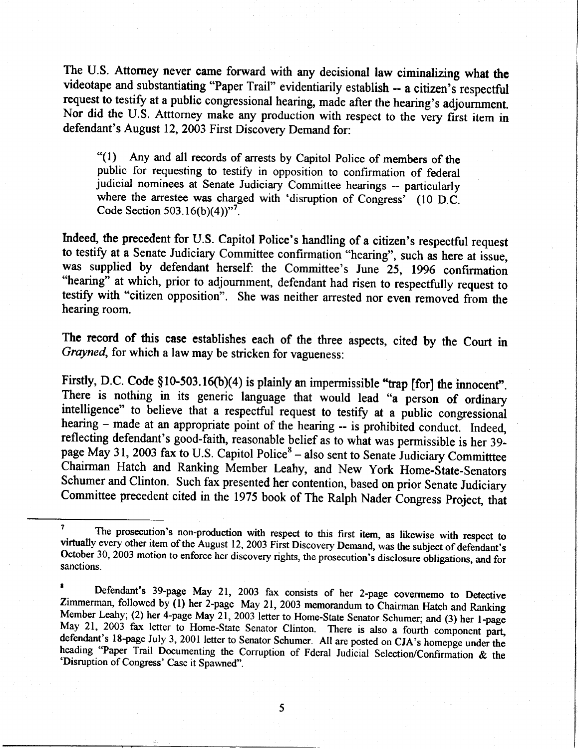The U.S. Attorney never came forward with any decisional law ciminalizing what the videotape and substantiating "Paper Trail" evidentiarily establish - a citizen's respectful request to testify at a public congressional hearing, made after the hearing's adjournment. Nor did the U.S. Atttorney make any production with respect to the very first item in defendant's August 12, 2003 First Discovery Demand for:

\*(l) Any and all records of arrests by Capitol Police of members of the public for requesting to testify in opposition to confirmation of federal judicial nominees at Senate Judiciary Committee hearings - particularly where the arrestee was charged with 'disruption of Congress' (10 D.C. Code Section 503.16(b)(4)) $^{97}$ .

Indeed, the precedent for U.S. Capitol Police's handling of a citizen's respectful request to testify at a Senate Judiciary Committee confirmation "hearing", such as here at issue, was supplied by defendant herself: the Committee's June 25, 1996 confirmation "hearing" at which, prior to adjournment, defendant had risen to respectfully request to testify with "citizen opposition". She was neither arrested nor even removed from the hearing room.

The record of this case establishes each of the three aspects, cited by the Court in Grayned, for which a law may be stricken for vagueness:

Firstly, D.C. Code  $$10-503.16(b)(4)$  is plainly an impermissible "trap [for] the innocent". The independent of the information of ordinary.<br>There is nothing in its generic language that would lead "a person of ordinary intelligence" to believe that a respectful request to testify at a public congressional hearing  $-$  made at an appropriate point of the hearing  $-$  is prohibited conduct. Indeed, reflecting defendant's good-faith, reasonable belief as to what was permissible is her 39page May 31, 2003 fax to U.S. Capitol Police<sup>8</sup> – also sent to Senate Judiciary Committee Chairman Hatch and Ranking Member Leahy, and New York Home-State-senators Schumer and Clinton. Such fax presented her contention, based on prior Senate Judiciary Committee precedent cited in the 1975 book of The Ralph Nader Congress Project, that

The prosecution's non-production with respect to this first item, as likewise with respect to virtually every other item of the August 12, 2003 First Discovery Demand, was the subject of defendant's October 30, 2003 motion

<sup>&</sup>lt;sup>8</sup> Defendant's 39-page May 21, 2003 fax consists of her 2-page covermemo to Detective Zimmerman, followed by (1) her 2-page May 21, 2003 memorandum to Chairman Hatch and Ranking Member Leahy; (2) her 4-page May 21, 2003 l defendant's 18-page July 3, 2001 letter to Senator Schumer. All are posted on CJA's homepge under the **Community 10 page 3ary 5, 2001 feller to Senator Senator.** All are posted on CJA's nomepge under the heading "Paper Trail Documenting the Corruption of Fderal Judicial Selection/Confirmation & the 'Disruption of Congress'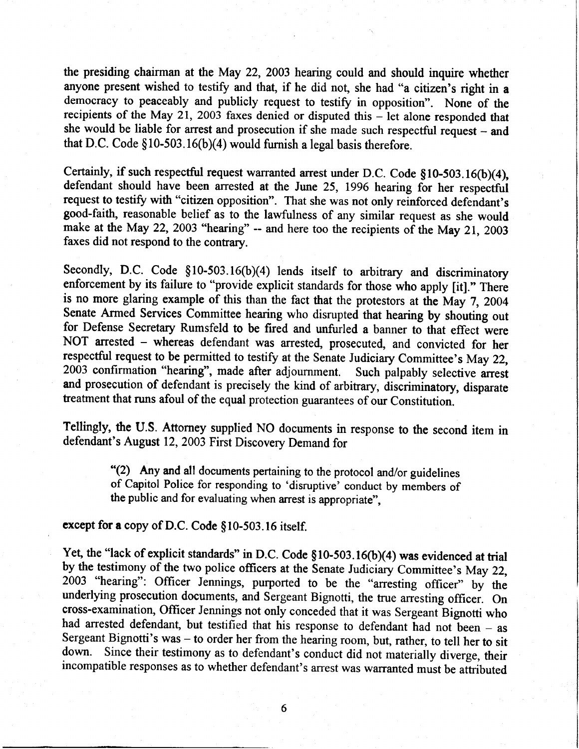the presiding chairman at the May 22, 2003 hearing could and should inquire whether anyone present wished to testify and that, if he did not, she had "a citizen's right in a democracy to peaceably and publicly request to testify in opposition". None of the recipients of the May 21, 2003 faxes denied or disputed this  $-$  let alone responded that she would be liable for arrest and prosecution if she made such respectful request - and that D.C. Code  $$10-503.16(b)(4)$  would furnish a legal basis therefore.

Certainly, if such respectful request warranted arrest under D.C. Code  $$10-503.16(b)(4)$ , defendant should have been arested at the June 25, 1996 hearing for her respectful request to testify with "citizen opposition". That she was not only reinforced defendant's good-faith, reasonable belief as to the lawfulness of any similar request as she would make at the May 22, 2003 "hearing" -- and here too the recipients of the May 21, 2003 faxes did not respond to the contrary.

Secondly, D.C. Code  $$10-503.16(b)(4)$  lends itself to arbitrary and discriminatory enforcement by its failure to "provide explicit standards for those who apply [it]." There is no more glaring example of this than the fact that the protestors at the May 7, 2004 Senate Armed Services Committee hearing who disrupted that hearing by shouting out for Defense Secretary Rumsfeld to be fired and unfurled a banner to that effect were NOT arrested - whereas defendant was arrested, prosecuted, and convicted for her respectful request to be permitted to testify at the Senate Judiciary Committee's May 22, 2003 confirmation "hearing", made after adjournment. Such palpably selective arrest 2003 confirmation "hearing", made after adjournment. and prosecution of defendant is precisely the kind of arbitrary, discriminatory, disparate treatment that runs afoul of the equal protection guarantees of our Constitution.

Tellingly, the U.S. Attorney supplied NO documents in response to the second item in defendant's August 12, 2003 First Discovery Demand for

> \*(2) Any and all documents pertaining to the protocol and/or guidelines of Capitol Police for responding to 'disruptive' conduct by members of the public and for evaluating when arrest is appropriate",

## except for a copy of D.C. Code §10-503.16 itself.

Yet, the "lack of explicit standards" in D.C. Code  $$10-503.16(b)(4)$  was evidenced at trial by the testimony of the two police officers at the Senate Judiciary Committee's May 22, 2003 "hearing": Officer Jennings, purported to be the "arresting officer" by the underlying prosecution documents, and Sergeant Bignotti, the true arresting officer. On cross-examination, Officer Jennings not only conceded that it was Sergeant-Bignotti who had arrested defendant, but testified that his response to defendant had not been - as Sergeant Bignotti's was - to order her from the hearing room, but, rather, to tell her to sit down. Since their testimony as to defendant's conduct did not materially diverge, their incompatible responses as to whether defendant's arrest was warranted must be attributed